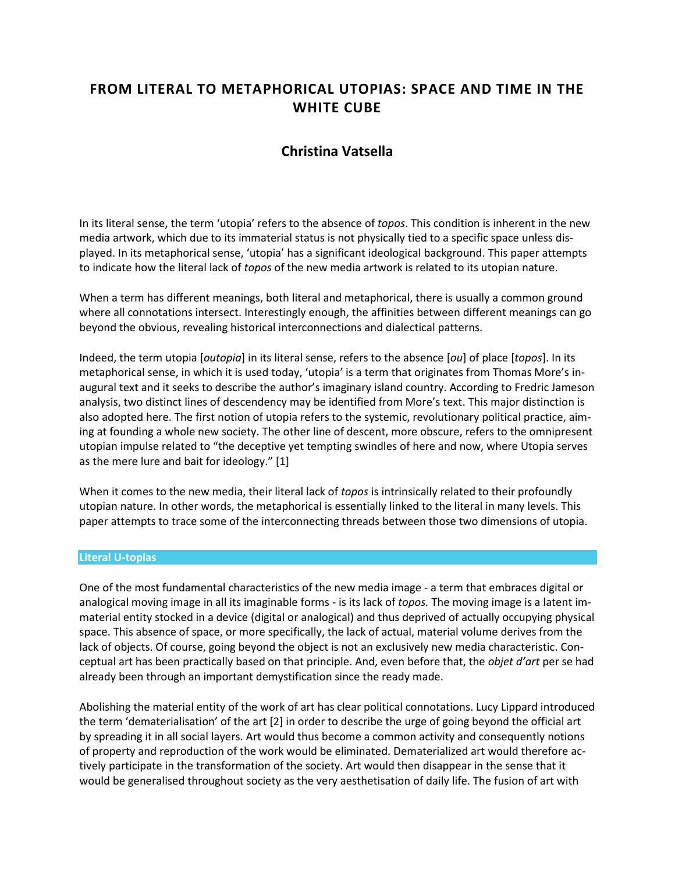# **FROM LITERAL TO METAPHORICAL UTOPIAS: SPACE AND TIME IN THE WHITE CUBE**

## **Christina Vatsella**

In its literal sense, the term 'utopia' refers to the absence of *topos*. This condition is inherent in the new media artwork, which due to its immaterial status is not physically tied to a specific space unless displayed. In its metaphorical sense, 'utopia' has a significant ideological background. This paper attempts to indicate how the literal lack of *topos* of the new media artwork is related to its utopian nature.

When a term has different meanings, both literal and metaphorical, there is usually a common ground where all connotations intersect. Interestingly enough, the affinities between different meanings can go beyond the obvious, revealing historical interconnections and dialectical patterns.

Indeed, the term utopia [*outopia*] in its literal sense, refers to the absence [*ou*] of place [*topos*]. In its metaphorical sense, in which it is used today, 'utopia' is a term that originates from Thomas More's inaugural text and it seeks to describe the author's imaginary island country. According to Fredric Jameson analysis, two distinct lines of descendency may be identified from More's text. This major distinction is also adopted here. The first notion of utopia refers to the systemic, revolutionary political practice, aiming at founding a whole new society. The other line of descent, more obscure, refers to the omnipresent utopian impulse related to "the deceptive yet tempting swindles of here and now, where Utopia serves as the mere lure and bait for ideology." [1]

When it comes to the new media, their literal lack of *topos* is intrinsically related to their profoundly utopian nature. In other words, the metaphorical is essentially linked to the literal in many levels. This paper attempts to trace some of the interconnecting threads between those two dimensions of utopia.

### **Literal U-topias**

One of the most fundamental characteristics of the new media image - a term that embraces digital or analogical moving image in all its imaginable forms - is its lack of *topos.* The moving image is a latent immaterial entity stocked in a device (digital or analogical) and thus deprived of actually occupying physical space. This absence of space, or more specifically, the lack of actual, material volume derives from the lack of objects. Of course, going beyond the object is not an exclusively new media characteristic. Conceptual art has been practically based on that principle. And, even before that, the *objet d'art* per se had already been through an important demystification since the ready made.

Abolishing the material entity of the work of art has clear political connotations. Lucy Lippard introduced the term 'dematerialisation' of the art [2] in order to describe the urge of going beyond the official art by spreading it in all social layers. Art would thus become a common activity and consequently notions of property and reproduction of the work would be eliminated. Dematerialized art would therefore actively participate in the transformation of the society. Art would then disappear in the sense that it would be generalised throughout society as the very aesthetisation of daily life. The fusion of art with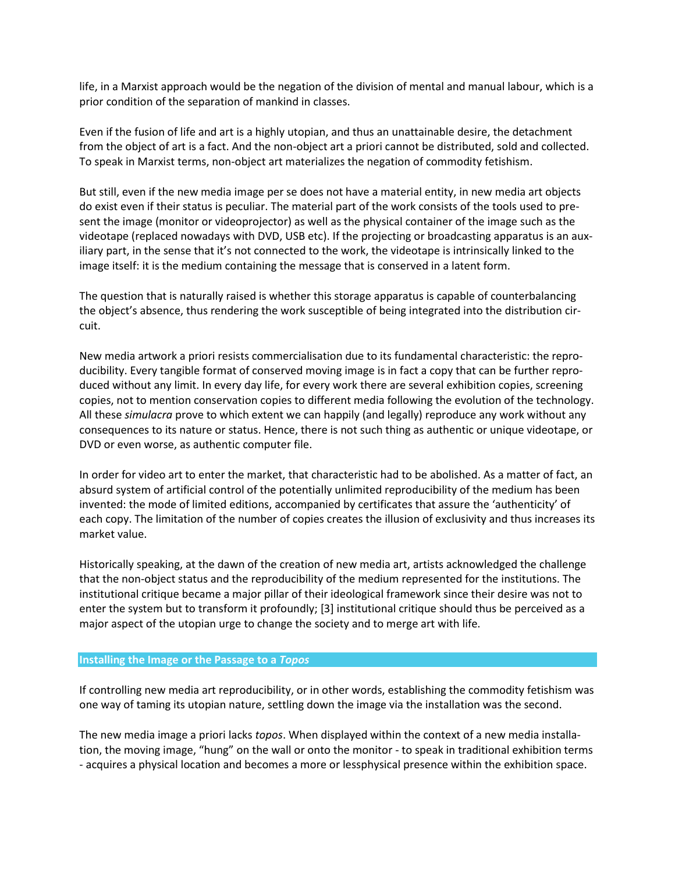life, in a Marxist approach would be the negation of the division of mental and manual labour, which is a prior condition of the separation of mankind in classes.

Even if the fusion of life and art is a highly utopian, and thus an unattainable desire, the detachment from the object of art is a fact. And the non-object art a priori cannot be distributed, sold and collected. To speak in Marxist terms, non-object art materializes the negation of commodity fetishism.

But still, even if the new media image per se does not have a material entity, in new media art objects do exist even if their status is peculiar. The material part of the work consists of the tools used to present the image (monitor or videoprojector) as well as the physical container of the image such as the videotape (replaced nowadays with DVD, USB etc). If the projecting or broadcasting apparatus is an auxiliary part, in the sense that it's not connected to the work, the videotape is intrinsically linked to the image itself: it is the medium containing the message that is conserved in a latent form.

The question that is naturally raised is whether this storage apparatus is capable of counterbalancing the object's absence, thus rendering the work susceptible of being integrated into the distribution circuit.

New media artwork a priori resists commercialisation due to its fundamental characteristic: the reproducibility. Every tangible format of conserved moving image is in fact a copy that can be further reproduced without any limit. In every day life, for every work there are several exhibition copies, screening copies, not to mention conservation copies to different media following the evolution of the technology. All these *simulacra* prove to which extent we can happily (and legally) reproduce any work without any consequences to its nature or status. Hence, there is not such thing as authentic or unique videotape, or DVD or even worse, as authentic computer file.

In order for video art to enter the market, that characteristic had to be abolished. As a matter of fact, an absurd system of artificial control of the potentially unlimited reproducibility of the medium has been invented: the mode of limited editions, accompanied by certificates that assure the 'authenticity' of each copy. The limitation of the number of copies creates the illusion of exclusivity and thus increases its market value.

Historically speaking, at the dawn of the creation of new media art, artists acknowledged the challenge that the non-object status and the reproducibility of the medium represented for the institutions. The institutional critique became a major pillar of their ideological framework since their desire was not to enter the system but to transform it profoundly; [3] institutional critique should thus be perceived as a major aspect of the utopian urge to change the society and to merge art with life.

#### **Installing the Image or the Passage to a** *Topos*

If controlling new media art reproducibility, or in other words, establishing the commodity fetishism was one way of taming its utopian nature, settling down the image via the installation was the second.

The new media image a priori lacks *topos*. When displayed within the context of a new media installation, the moving image, "hung" on the wall or onto the monitor - to speak in traditional exhibition terms - acquires a physical location and becomes a more or lessphysical presence within the exhibition space.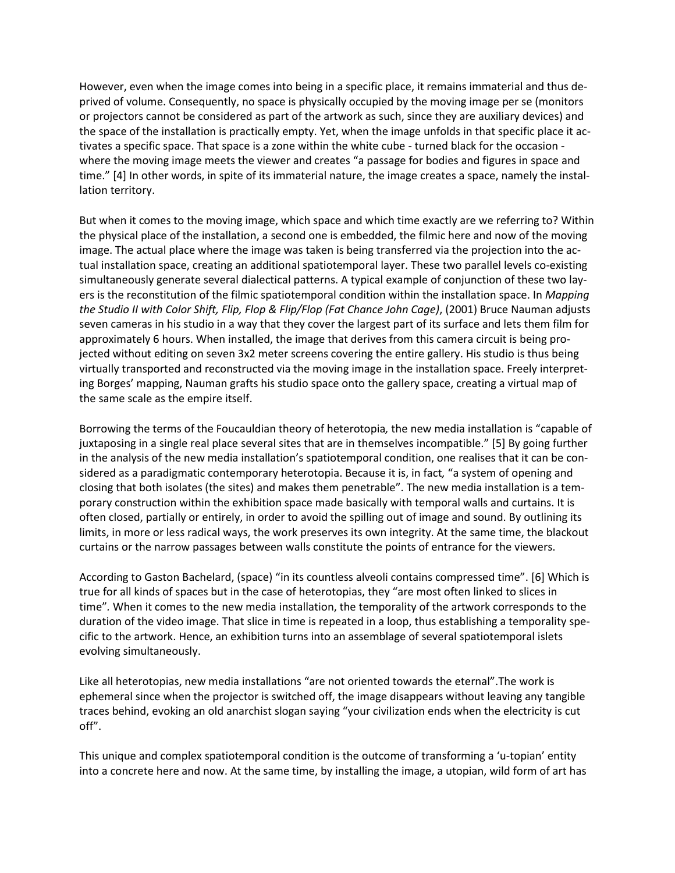However, even when the image comes into being in a specific place, it remains immaterial and thus deprived of volume. Consequently, no space is physically occupied by the moving image per se (monitors or projectors cannot be considered as part of the artwork as such, since they are auxiliary devices) and the space of the installation is practically empty. Yet, when the image unfolds in that specific place it activates a specific space. That space is a zone within the white cube - turned black for the occasion where the moving image meets the viewer and creates "a passage for bodies and figures in space and time." [4] In other words, in spite of its immaterial nature, the image creates a space, namely the installation territory.

But when it comes to the moving image, which space and which time exactly are we referring to? Within the physical place of the installation, a second one is embedded, the filmic here and now of the moving image. The actual place where the image was taken is being transferred via the projection into the actual installation space, creating an additional spatiotemporal layer. These two parallel levels co-existing simultaneously generate several dialectical patterns. A typical example of conjunction of these two layers is the reconstitution of the filmic spatiotemporal condition within the installation space. In *Mapping the Studio II with Color Shift, Flip, Flop & Flip/Flop (Fat Chance John Cage)*, (2001) Bruce Nauman adjusts seven cameras in his studio in a way that they cover the largest part of its surface and lets them film for approximately 6 hours. When installed, the image that derives from this camera circuit is being projected without editing on seven 3x2 meter screens covering the entire gallery. His studio is thus being virtually transported and reconstructed via the moving image in the installation space. Freely interpreting Borges' mapping, Nauman grafts his studio space onto the gallery space, creating a virtual map of the same scale as the empire itself.

Borrowing the terms of the Foucauldian theory of heterotopia*,* the new media installation is "capable of juxtaposing in a single real place several sites that are in themselves incompatible." [5] By going further in the analysis of the new media installation's spatiotemporal condition, one realises that it can be considered as a paradigmatic contemporary heterotopia. Because it is, in fact*,* "a system of opening and closing that both isolates (the sites) and makes them penetrable". The new media installation is a temporary construction within the exhibition space made basically with temporal walls and curtains. It is often closed, partially or entirely, in order to avoid the spilling out of image and sound. By outlining its limits, in more or less radical ways, the work preserves its own integrity. At the same time, the blackout curtains or the narrow passages between walls constitute the points of entrance for the viewers.

According to Gaston Bachelard, (space) "in its countless alveoli contains compressed time". [6] Which is true for all kinds of spaces but in the case of heterotopias, they "are most often linked to slices in time"*.* When it comes to the new media installation, the temporality of the artwork corresponds to the duration of the video image. That slice in time is repeated in a loop, thus establishing a temporality specific to the artwork. Hence, an exhibition turns into an assemblage of several spatiotemporal islets evolving simultaneously.

Like all heterotopias, new media installations "are not oriented towards the eternal".The work is ephemeral since when the projector is switched off, the image disappears without leaving any tangible traces behind, evoking an old anarchist slogan saying "your civilization ends when the electricity is cut off".

This unique and complex spatiotemporal condition is the outcome of transforming a 'u-topian' entity into a concrete here and now. At the same time, by installing the image, a utopian, wild form of art has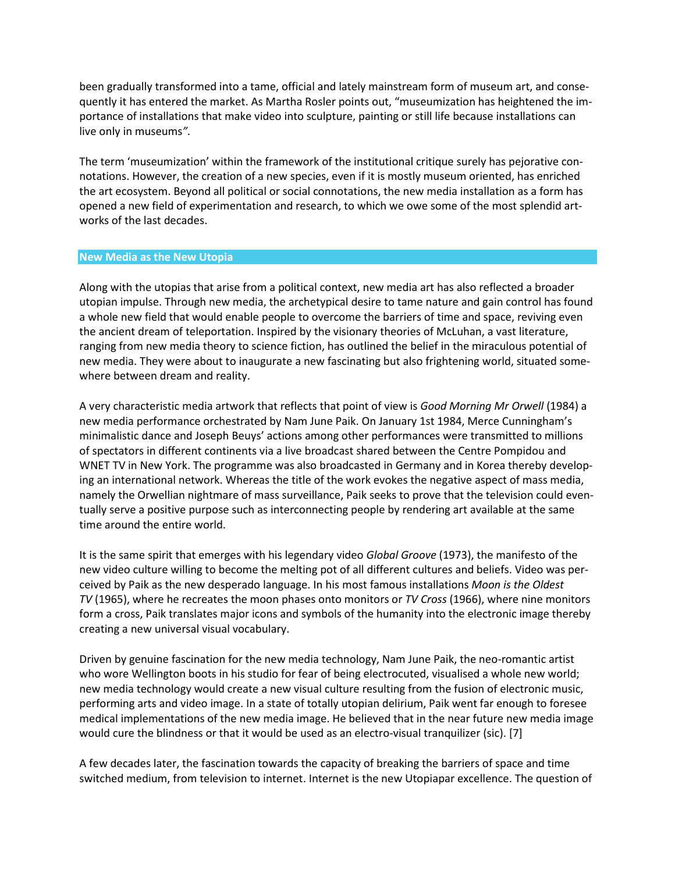been gradually transformed into a tame, official and lately mainstream form of museum art, and consequently it has entered the market. As Martha Rosler points out, "museumization has heightened the importance of installations that make video into sculpture, painting or still life because installations can live only in museums*".*

The term 'museumization' within the framework of the institutional critique surely has pejorative connotations. However, the creation of a new species, even if it is mostly museum oriented, has enriched the art ecosystem. Beyond all political or social connotations, the new media installation as a form has opened a new field of experimentation and research, to which we owe some of the most splendid artworks of the last decades.

#### **New Media as the New Utopia**

Along with the utopias that arise from a political context, new media art has also reflected a broader utopian impulse. Through new media, the archetypical desire to tame nature and gain control has found a whole new field that would enable people to overcome the barriers of time and space, reviving even the ancient dream of teleportation. Inspired by the visionary theories of McLuhan, a vast literature, ranging from new media theory to science fiction, has outlined the belief in the miraculous potential of new media. They were about to inaugurate a new fascinating but also frightening world, situated somewhere between dream and reality.

A very characteristic media artwork that reflects that point of view is *Good Morning Mr Orwell* (1984) a new media performance orchestrated by Nam June Paik. On January 1st 1984, Merce Cunningham's minimalistic dance and Joseph Beuys' actions among other performances were transmitted to millions of spectators in different continents via a live broadcast shared between the Centre Pompidou and WNET TV in New York. The programme was also broadcasted in Germany and in Korea thereby developing an international network. Whereas the title of the work evokes the negative aspect of mass media, namely the Orwellian nightmare of mass surveillance, Paik seeks to prove that the television could eventually serve a positive purpose such as interconnecting people by rendering art available at the same time around the entire world.

It is the same spirit that emerges with his legendary video *Global Groove* (1973), the manifesto of the new video culture willing to become the melting pot of all different cultures and beliefs. Video was perceived by Paik as the new desperado language. In his most famous installations *Moon is the Oldest TV* (1965), where he recreates the moon phases onto monitors or *TV Cross* (1966), where nine monitors form a cross, Paik translates major icons and symbols of the humanity into the electronic image thereby creating a new universal visual vocabulary.

Driven by genuine fascination for the new media technology, Nam June Paik, the neo-romantic artist who wore Wellington boots in his studio for fear of being electrocuted, visualised a whole new world; new media technology would create a new visual culture resulting from the fusion of electronic music, performing arts and video image. In a state of totally utopian delirium, Paik went far enough to foresee medical implementations of the new media image. He believed that in the near future new media image would cure the blindness or that it would be used as an electro-visual tranquilizer (sic). [7]

A few decades later, the fascination towards the capacity of breaking the barriers of space and time switched medium, from television to internet. Internet is the new Utopiapar excellence. The question of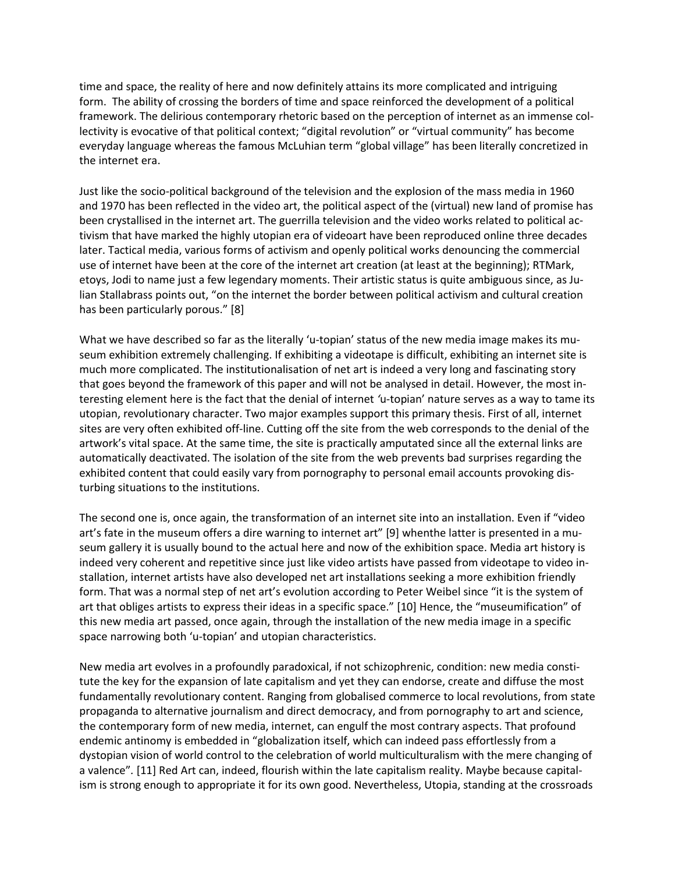time and space, the reality of here and now definitely attains its more complicated and intriguing form. The ability of crossing the borders of time and space reinforced the development of a political framework. The delirious contemporary rhetoric based on the perception of internet as an immense collectivity is evocative of that political context; "digital revolution" or "virtual community" has become everyday language whereas the famous McLuhian term "global village" has been literally concretized in the internet era.

Just like the socio-political background of the television and the explosion of the mass media in 1960 and 1970 has been reflected in the video art, the political aspect of the (virtual) new land of promise has been crystallised in the internet art. The guerrilla television and the video works related to political activism that have marked the highly utopian era of videoart have been reproduced online three decades later. Tactical media, various forms of activism and openly political works denouncing the commercial use of internet have been at the core of the internet art creation (at least at the beginning); RTMark, etoys, Jodi to name just a few legendary moments. Their artistic status is quite ambiguous since, as Julian Stallabrass points out, "on the internet the border between political activism and cultural creation has been particularly porous." [8]

What we have described so far as the literally 'u-topian' status of the new media image makes its museum exhibition extremely challenging. If exhibiting a videotape is difficult, exhibiting an internet site is much more complicated. The institutionalisation of net art is indeed a very long and fascinating story that goes beyond the framework of this paper and will not be analysed in detail. However, the most interesting element here is the fact that the denial of internet *'*u-topian' nature serves as a way to tame its utopian, revolutionary character. Two major examples support this primary thesis. First of all, internet sites are very often exhibited off-line. Cutting off the site from the web corresponds to the denial of the artwork's vital space. At the same time, the site is practically amputated since all the external links are automatically deactivated. The isolation of the site from the web prevents bad surprises regarding the exhibited content that could easily vary from pornography to personal email accounts provoking disturbing situations to the institutions.

The second one is, once again, the transformation of an internet site into an installation. Even if "video art's fate in the museum offers a dire warning to internet art" [9] whenthe latter is presented in a museum gallery it is usually bound to the actual here and now of the exhibition space. Media art history is indeed very coherent and repetitive since just like video artists have passed from videotape to video installation, internet artists have also developed net art installations seeking a more exhibition friendly form. That was a normal step of net art's evolution according to Peter Weibel since "it is the system of art that obliges artists to express their ideas in a specific space." [10] Hence, the "museumification" of this new media art passed, once again, through the installation of the new media image in a specific space narrowing both 'u-topian' and utopian characteristics.

New media art evolves in a profoundly paradoxical, if not schizophrenic, condition: new media constitute the key for the expansion of late capitalism and yet they can endorse, create and diffuse the most fundamentally revolutionary content. Ranging from globalised commerce to local revolutions, from state propaganda to alternative journalism and direct democracy, and from pornography to art and science, the contemporary form of new media, internet, can engulf the most contrary aspects. That profound endemic antinomy is embedded in "globalization itself, which can indeed pass effortlessly from a dystopian vision of world control to the celebration of world multiculturalism with the mere changing of a valence"*.* [11] Red Art can, indeed, flourish within the late capitalism reality. Maybe because capitalism is strong enough to appropriate it for its own good. Nevertheless, Utopia, standing at the crossroads